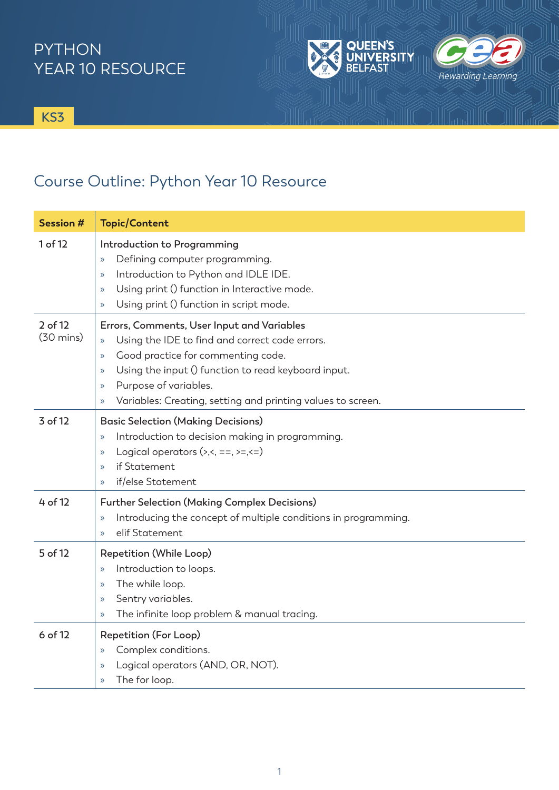## PYTHON YEAR 10 RESOURCE

**KS3**

## Course Outline: Python Year 10 Resource

| <b>Session #</b>               | <b>Topic/Content</b>                                                                                                                                                                                                                                                                                                                                                   |
|--------------------------------|------------------------------------------------------------------------------------------------------------------------------------------------------------------------------------------------------------------------------------------------------------------------------------------------------------------------------------------------------------------------|
| 1 of 12                        | Introduction to Programming<br>Defining computer programming.<br>$\mathcal{D}$<br>Introduction to Python and IDLE IDE.<br>$\mathcal{Y}$<br>Using print () function in Interactive mode.<br>$\rightarrow$<br>Using print () function in script mode.<br>$\mathcal{D}$                                                                                                   |
| 2 of 12<br>$(30 \text{ mins})$ | Errors, Comments, User Input and Variables<br>Using the IDE to find and correct code errors.<br>$\mathcal{Y}$<br>Good practice for commenting code.<br>$\mathcal{Y}$<br>Using the input () function to read keyboard input.<br>$\rightarrow$<br>Purpose of variables.<br>$\rightarrow$<br>Variables: Creating, setting and printing values to screen.<br>$\mathcal{P}$ |
| 3 of 12                        | <b>Basic Selection (Making Decisions)</b><br>Introduction to decision making in programming.<br>$\mathcal{Y}$<br>Logical operators $(\times, \leq, =, \geq, \leq)$<br>$\rightarrow$<br>if Statement<br>$\mathcal{P}$<br>if/else Statement<br>$\mathcal{Y}$                                                                                                             |
| 4 of 12                        | <b>Further Selection (Making Complex Decisions)</b><br>Introducing the concept of multiple conditions in programming.<br>$\mathcal{P}$<br>elif Statement<br>$\mathcal{D}$                                                                                                                                                                                              |
| 5 of 12                        | Repetition (While Loop)<br>Introduction to loops.<br>$\mathcal{Y}$<br>The while loop.<br>$\rightarrow$<br>Sentry variables.<br>$\mathcal{Y}$<br>The infinite loop problem & manual tracing.<br>$\mathcal{Y}$                                                                                                                                                           |
| 6 of 12                        | Repetition (For Loop)<br>Complex conditions.<br>$\mathcal{Y}$<br>Logical operators (AND, OR, NOT).<br>$\rightarrow$<br>The for loop.<br>$\mathcal{Y}$                                                                                                                                                                                                                  |

UIK JIR

**EEN'S** 

**ERSITY** 

川 人 川 い

Rewarding Learning